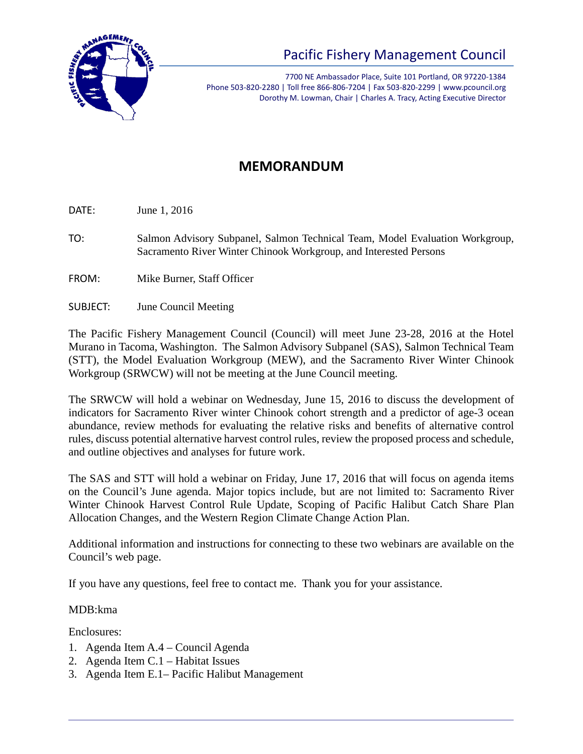

## Pacific Fishery Management Council

7700 NE Ambassador Place, Suite 101 Portland, OR 97220-1384 Phone 503-820-2280 | Toll free 866-806-7204 | Fax 503-820-2299 | www.pcouncil.org Dorothy M. Lowman, Chair | Charles A. Tracy, Acting Executive Director

## **MEMORANDUM**

DATE: June 1, 2016

- TO: Salmon Advisory Subpanel, Salmon Technical Team, Model Evaluation Workgroup, Sacramento River Winter Chinook Workgroup, and Interested Persons
- FROM: Mike Burner, Staff Officer
- SUBJECT: June Council Meeting

The Pacific Fishery Management Council (Council) will meet June 23-28, 2016 at the Hotel Murano in Tacoma, Washington. The Salmon Advisory Subpanel (SAS), Salmon Technical Team (STT), the Model Evaluation Workgroup (MEW), and the Sacramento River Winter Chinook Workgroup (SRWCW) will not be meeting at the June Council meeting.

The SRWCW will hold a webinar on Wednesday, June 15, 2016 to discuss the development of indicators for Sacramento River winter Chinook cohort strength and a predictor of age-3 ocean abundance, review methods for evaluating the relative risks and benefits of alternative control rules, discuss potential alternative harvest control rules, review the proposed process and schedule, and outline objectives and analyses for future work.

The SAS and STT will hold a webinar on Friday, June 17, 2016 that will focus on agenda items on the Council's June agenda. Major topics include, but are not limited to: Sacramento River Winter Chinook Harvest Control Rule Update, Scoping of Pacific Halibut Catch Share Plan Allocation Changes, and the Western Region Climate Change Action Plan.

Additional information and instructions for connecting to these two webinars are available on the Council's web page.

If you have any questions, feel free to contact me. Thank you for your assistance.

MDB:kma

Enclosures:

- 1. Agenda Item A.4 Council Agenda
- 2. Agenda Item C.1 Habitat Issues
- 3. Agenda Item E.1– Pacific Halibut Management